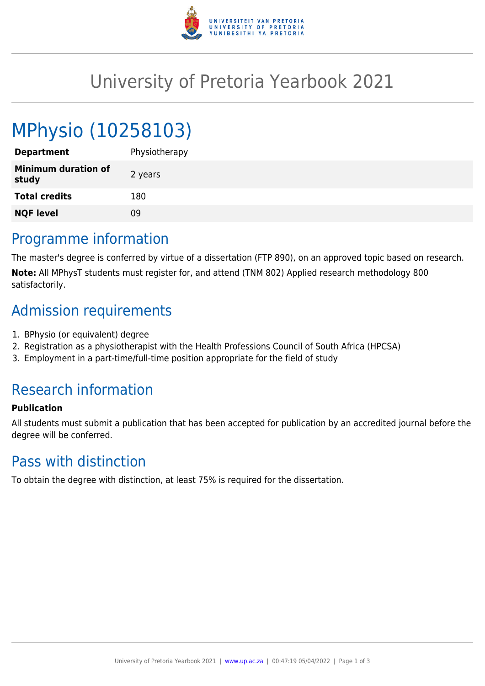

# University of Pretoria Yearbook 2021

# MPhysio (10258103)

| <b>Department</b>                   | Physiotherapy |
|-------------------------------------|---------------|
| <b>Minimum duration of</b><br>study | 2 years       |
| <b>Total credits</b>                | 180           |
| <b>NQF level</b>                    | 09            |
|                                     |               |

## Programme information

The master's degree is conferred by virtue of a dissertation (FTP 890), on an approved topic based on research. **Note:** All MPhysT students must register for, and attend (TNM 802) Applied research methodology 800 satisfactorily.

## Admission requirements

- 1. BPhysio (or equivalent) degree
- 2. Registration as a physiotherapist with the Health Professions Council of South Africa (HPCSA)
- 3. Employment in a part-time/full-time position appropriate for the field of study

## Research information

#### **Publication**

All students must submit a publication that has been accepted for publication by an accredited journal before the degree will be conferred.

## Pass with distinction

To obtain the degree with distinction, at least 75% is required for the dissertation.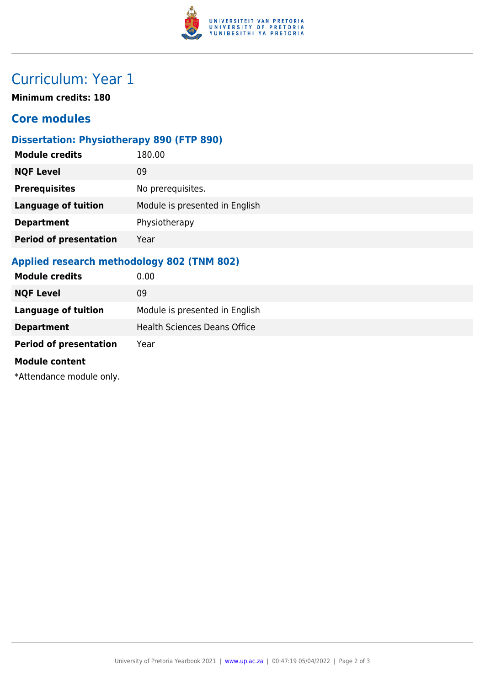

# Curriculum: Year 1

**Minimum credits: 180**

### **Core modules**

### **Dissertation: Physiotherapy 890 (FTP 890)**

| <b>Module credits</b>         | 180.00                         |
|-------------------------------|--------------------------------|
| <b>NQF Level</b>              | 09                             |
| <b>Prerequisites</b>          | No prerequisites.              |
| <b>Language of tuition</b>    | Module is presented in English |
| <b>Department</b>             | Physiotherapy                  |
| <b>Period of presentation</b> | Year                           |
|                               |                                |

### **Applied research methodology 802 (TNM 802)**

| <b>Module credits</b>         | 0.00                                |
|-------------------------------|-------------------------------------|
| <b>NQF Level</b>              | 09                                  |
| <b>Language of tuition</b>    | Module is presented in English      |
| <b>Department</b>             | <b>Health Sciences Deans Office</b> |
| <b>Period of presentation</b> | Year                                |
| <b>Module content</b>         |                                     |
| *Attendance module only.      |                                     |